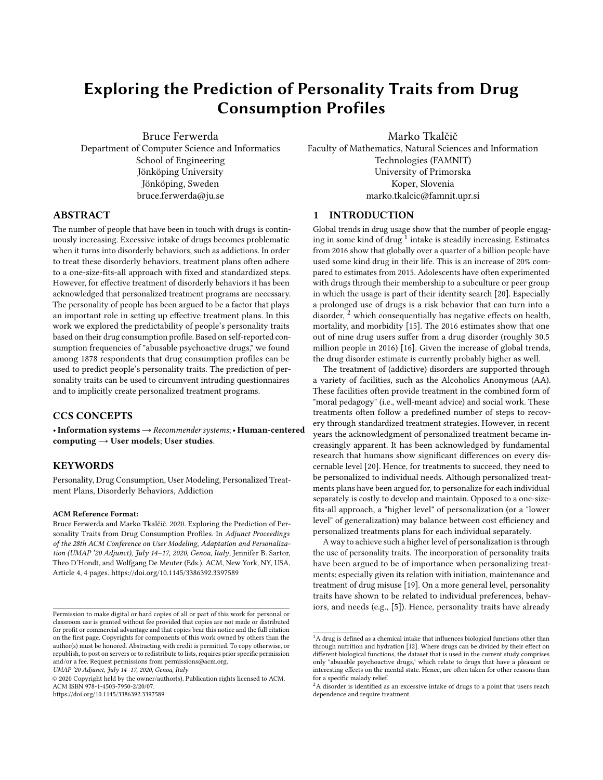# Exploring the Prediction of Personality Traits from Drug Consumption Profiles

Bruce Ferwerda Department of Computer Science and Informatics School of Engineering Jönköping University Jönköping, Sweden bruce.ferwerda@ju.se

Marko Tkalčič

Faculty of Mathematics, Natural Sciences and Information Technologies (FAMNIT) University of Primorska Koper, Slovenia marko.tkalcic@famnit.upr.si

## ABSTRACT

The number of people that have been in touch with drugs is continuously increasing. Excessive intake of drugs becomes problematic when it turns into disorderly behaviors, such as addictions. In order to treat these disorderly behaviors, treatment plans often adhere to a one-size-fits-all approach with fixed and standardized steps. However, for effective treatment of disorderly behaviors it has been acknowledged that personalized treatment programs are necessary. The personality of people has been argued to be a factor that plays an important role in setting up effective treatment plans. In this work we explored the predictability of people's personality traits based on their drug consumption profile. Based on self-reported consumption frequencies of "abusable psychoactive drugs," we found among 1878 respondents that drug consumption profiles can be used to predict people's personality traits. The prediction of personality traits can be used to circumvent intruding questionnaires and to implicitly create personalized treatment programs.

## CCS CONCEPTS

•Information systems→Recommender systems;• Human-centered computing  $\rightarrow$  User models; User studies.

# **KEYWORDS**

Personality, Drug Consumption, User Modeling, Personalized Treatment Plans, Disorderly Behaviors, Addiction

#### ACM Reference Format:

Bruce Ferwerda and Marko Tkalčič. 2020. Exploring the Prediction of Personality Traits from Drug Consumption Profiles. In Adjunct Proceedings of the 28th ACM Conference on User Modeling, Adaptation and Personalization (UMAP '20 Adjunct), July 14–17, 2020, Genoa, Italy, Jennifer B. Sartor, Theo D'Hondt, and Wolfgang De Meuter (Eds.). ACM, New York, NY, USA, Article 4, [4](#page-3-0) pages.<https://doi.org/10.1145/3386392.3397589>

UMAP '20 Adjunct, July 14–17, 2020, Genoa, Italy

<https://doi.org/10.1145/3386392.3397589>

#### 1 INTRODUCTION

Global trends in drug usage show that the number of people engaging in some kind of drug  $^1$  $^1$  intake is steadily increasing. Estimates from 2016 show that globally over a quarter of a billion people have used some kind drug in their life. This is an increase of 20% compared to estimates from 2015. Adolescents have often experimented with drugs through their membership to a subculture or peer group in which the usage is part of their identity search [\[20\]](#page-3-1). Especially a prolonged use of drugs is a risk behavior that can turn into a disorder, <sup>[2](#page-0-1)</sup> which consequentially has negative effects on health, mortality, and morbidity [\[15\]](#page-3-2). The 2016 estimates show that one out of nine drug users suffer from a drug disorder (roughly 30.5 million people in 2016) [\[16\]](#page-3-3). Given the increase of global trends, the drug disorder estimate is currently probably higher as well.

The treatment of (addictive) disorders are supported through a variety of facilities, such as the Alcoholics Anonymous (AA). These facilities often provide treatment in the combined form of "moral pedagogy" (i.e., well-meant advice) and social work. These treatments often follow a predefined number of steps to recovery through standardized treatment strategies. However, in recent years the acknowledgment of personalized treatment became increasingly apparent. It has been acknowledged by fundamental research that humans show significant differences on every discernable level [\[20\]](#page-3-1). Hence, for treatments to succeed, they need to be personalized to individual needs. Although personalized treatments plans have been argued for, to personalize for each individual separately is costly to develop and maintain. Opposed to a one-sizefits-all approach, a "higher level" of personalization (or a "lower level" of generalization) may balance between cost efficiency and personalized treatments plans for each individual separately.

A way to achieve such a higher level of personalization is through the use of personality traits. The incorporation of personality traits have been argued to be of importance when personalizing treatments; especially given its relation with initiation, maintenance and treatment of drug misuse [\[19\]](#page-3-4). On a more general level, personality traits have shown to be related to individual preferences, behaviors, and needs (e.g., [\[5\]](#page-3-5)). Hence, personality traits have already

Permission to make digital or hard copies of all or part of this work for personal or classroom use is granted without fee provided that copies are not made or distributed for profit or commercial advantage and that copies bear this notice and the full citation on the first page. Copyrights for components of this work owned by others than the author(s) must be honored. Abstracting with credit is permitted. To copy otherwise, or republish, to post on servers or to redistribute to lists, requires prior specific permission and/or a fee. Request permissions from permissions@acm.org.

<sup>©</sup> 2020 Copyright held by the owner/author(s). Publication rights licensed to ACM. ACM ISBN 978-1-4503-7950-2/20/07.

<span id="page-0-0"></span> $\overline{1_{\rm A}}$  drug is defined as a chemical intake that influences biological functions other than through nutrition and hydration [\[12\]](#page-3-6). Where drugs can be divided by their effect on different biological functions, the dataset that is used in the current study comprises only "abusable psychoactive drugs," which relate to drugs that have a pleasant or interesting effects on the mental state. Hence, are often taken for other reasons than for a specific malady relief.

<span id="page-0-1"></span> ${}^{2}{\rm A}$  disorder is identified as an excessive intake of drugs to a point that users reach dependence and require treatment.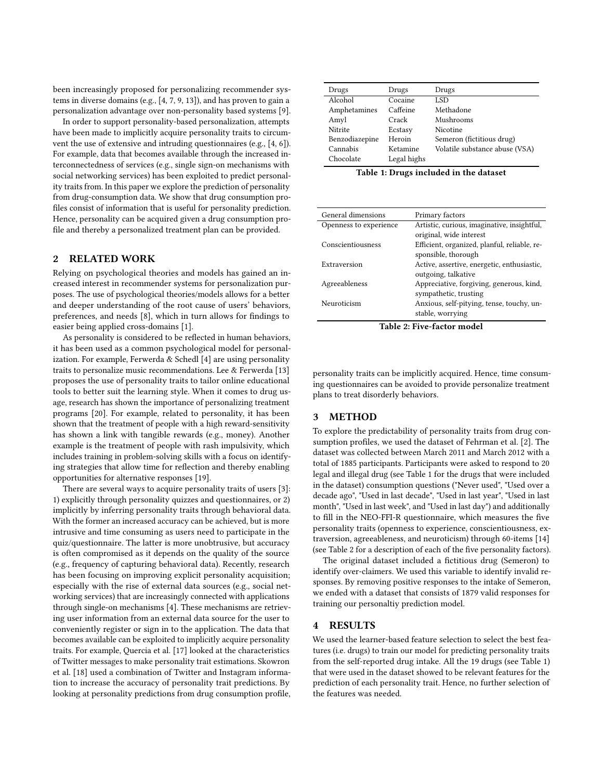been increasingly proposed for personalizing recommender systems in diverse domains (e.g., [\[4,](#page-3-7) [7,](#page-3-8) [9,](#page-3-9) [13\]](#page-3-10)), and has proven to gain a personalization advantage over non-personality based systems [\[9\]](#page-3-9).

In order to support personality-based personalization, attempts have been made to implicitly acquire personality traits to circumvent the use of extensive and intruding questionnaires (e.g., [\[4,](#page-3-7) [6\]](#page-3-11)). For example, data that becomes available through the increased interconnectedness of services (e.g., single sign-on mechanisms with social networking services) has been exploited to predict personality traits from. In this paper we explore the prediction of personality from drug-consumption data. We show that drug consumption profiles consist of information that is useful for personality prediction. Hence, personality can be acquired given a drug consumption profile and thereby a personalized treatment plan can be provided.

## 2 RELATED WORK

Relying on psychological theories and models has gained an increased interest in recommender systems for personalization purposes. The use of psychological theories/models allows for a better and deeper understanding of the root cause of users' behaviors, preferences, and needs [\[8\]](#page-3-12), which in turn allows for findings to easier being applied cross-domains [\[1\]](#page-3-13).

As personality is considered to be reflected in human behaviors, it has been used as a common psychological model for personal-ization. For example, Ferwerda & Schedl [\[4\]](#page-3-7) are using personality traits to personalize music recommendations. Lee & Ferwerda [\[13\]](#page-3-10) proposes the use of personality traits to tailor online educational tools to better suit the learning style. When it comes to drug usage, research has shown the importance of personalizing treatment programs [\[20\]](#page-3-1). For example, related to personality, it has been shown that the treatment of people with a high reward-sensitivity has shown a link with tangible rewards (e.g., money). Another example is the treatment of people with rash impulsivity, which includes training in problem-solving skills with a focus on identifying strategies that allow time for reflection and thereby enabling opportunities for alternative responses [\[19\]](#page-3-4).

There are several ways to acquire personality traits of users [\[3\]](#page-3-14): 1) explicitly through personality quizzes and questionnaires, or 2) implicitly by inferring personality traits through behavioral data. With the former an increased accuracy can be achieved, but is more intrusive and time consuming as users need to participate in the quiz/questionnaire. The latter is more unobtrusive, but accuracy is often compromised as it depends on the quality of the source (e.g., frequency of capturing behavioral data). Recently, research has been focusing on improving explicit personality acquisition; especially with the rise of external data sources (e.g., social networking services) that are increasingly connected with applications through single-on mechanisms [\[4\]](#page-3-7). These mechanisms are retrieving user information from an external data source for the user to conveniently register or sign in to the application. The data that becomes available can be exploited to implicitly acquire personality traits. For example, Quercia et al. [\[17\]](#page-3-15) looked at the characteristics of Twitter messages to make personality trait estimations. Skowron et al. [\[18\]](#page-3-16) used a combination of Twitter and Instagram information to increase the accuracy of personality trait predictions. By looking at personality predictions from drug consumption profile,

<span id="page-1-0"></span>

| Drugs          | Drugs       | Drugs                          |
|----------------|-------------|--------------------------------|
| Alcohol        | Cocaine     | LSD                            |
| Amphetamines   | Caffeine    | Methadone                      |
| Amyl           | Crack       | Mushrooms                      |
| <b>Nitrite</b> | Ecstasy     | <b>Nicotine</b>                |
| Benzodiazepine | Heroin      | Semeron (fictitious drug)      |
| Cannabis       | Ketamine    | Volatile substance abuse (VSA) |
| Chocolate      | Legal highs |                                |

Table 1: Drugs included in the dataset

<span id="page-1-1"></span>

| General dimensions     | Primary factors                              |
|------------------------|----------------------------------------------|
| Openness to experience | Artistic, curious, imaginative, insightful,  |
|                        | original, wide interest                      |
| Conscientiousness      | Efficient, organized, planful, reliable, re- |
|                        | sponsible, thorough                          |
| Extraversion           | Active, assertive, energetic, enthusiastic,  |
|                        | outgoing, talkative                          |
| Agreeableness          | Appreciative, forgiving, generous, kind,     |
|                        | sympathetic, trusting                        |
| Neuroticism            | Anxious, self-pitying, tense, touchy, un-    |
|                        | stable, worrying                             |
|                        |                                              |

Table 2: Five-factor model

personality traits can be implicitly acquired. Hence, time consuming questionnaires can be avoided to provide personalize treatment plans to treat disorderly behaviors.

### 3 METHOD

To explore the predictability of personality traits from drug consumption profiles, we used the dataset of Fehrman et al. [\[2\]](#page-3-17). The dataset was collected between March 2011 and March 2012 with a total of 1885 participants. Participants were asked to respond to 20 legal and illegal drug (see Table [1](#page-1-0) for the drugs that were included in the dataset) consumption questions ("Never used", "Used over a decade ago", "Used in last decade", "Used in last year", "Used in last month", "Used in last week", and "Used in last day") and additionally to fill in the NEO-FFI-R questionnaire, which measures the five personality traits (openness to experience, conscientiousness, extraversion, agreeableness, and neuroticism) through 60-items [\[14\]](#page-3-18) (see Table [2](#page-1-1) for a description of each of the five personality factors).

The original dataset included a fictitious drug (Semeron) to identify over-claimers. We used this variable to identify invalid responses. By removing positive responses to the intake of Semeron, we ended with a dataset that consists of 1879 valid responses for training our personaltiy prediction model.

## 4 RESULTS

We used the learner-based feature selection to select the best features (i.e. drugs) to train our model for predicting personality traits from the self-reported drug intake. All the 19 drugs (see Table [1\)](#page-1-0) that were used in the dataset showed to be relevant features for the prediction of each personality trait. Hence, no further selection of the features was needed.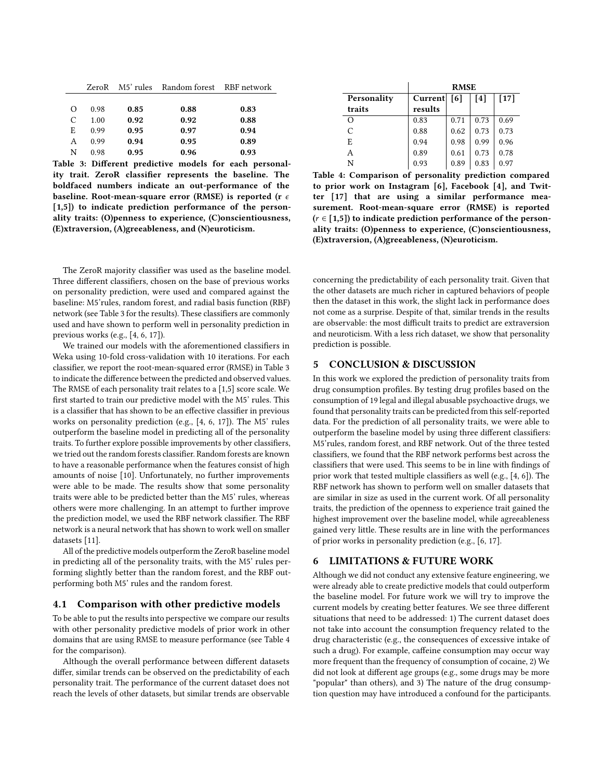<span id="page-2-0"></span>

|    | ZeroR |      | M5' rules Random forest RBF network |      |
|----|-------|------|-------------------------------------|------|
|    |       |      |                                     |      |
| Ω  | 0.98  | 0.85 | 0.88                                | 0.83 |
| C  | 1.00  | 0.92 | 0.92                                | 0.88 |
| E. | 0.99  | 0.95 | 0.97                                | 0.94 |
| A  | 0.99  | 0.94 | 0.95                                | 0.89 |
| N  | 0.98  | 0.95 | 0.96                                | 0.93 |

Table 3: Different predictive models for each personality trait. ZeroR classifier represents the baseline. The boldfaced numbers indicate an out-performance of the baseline. Root-mean-square error (RMSE) is reported (r  $\epsilon$ [1,5]) to indicate prediction performance of the personality traits: (O)penness to experience, (C)onscientiousness, (E)xtraversion, (A)greeableness, and (N)euroticism.

The ZeroR majority classifier was used as the baseline model. Three different classifiers, chosen on the base of previous works on personality prediction, were used and compared against the baseline: M5'rules, random forest, and radial basis function (RBF) network (see Table [3](#page-2-0) for the results). These classifiers are commonly used and have shown to perform well in personality prediction in previous works (e.g., [\[4,](#page-3-7) [6,](#page-3-11) [17\]](#page-3-15)).

We trained our models with the aforementioned classifiers in Weka using 10-fold cross-validation with 10 iterations. For each classifier, we report the root-mean-squared error (RMSE) in Table [3](#page-2-0) to indicate the difference between the predicted and observed values. The RMSE of each personality trait relates to a [1,5] score scale. We first started to train our predictive model with the M5' rules. This is a classifier that has shown to be an effective classifier in previous works on personality prediction (e.g., [\[4,](#page-3-7) [6,](#page-3-11) [17\]](#page-3-15)). The M5' rules outperform the baseline model in predicting all of the personality traits. To further explore possible improvements by other classifiers, we tried out the random forests classifier. Random forests are known to have a reasonable performance when the features consist of high amounts of noise [\[10\]](#page-3-19). Unfortunately, no further improvements were able to be made. The results show that some personality traits were able to be predicted better than the M5' rules, whereas others were more challenging. In an attempt to further improve the prediction model, we used the RBF network classifier. The RBF network is a neural network that has shown to work well on smaller datasets [\[11\]](#page-3-20).

All of the predictive models outperform the ZeroR baseline model in predicting all of the personality traits, with the M5' rules performing slightly better than the random forest, and the RBF outperforming both M5' rules and the random forest.

#### 4.1 Comparison with other predictive models

To be able to put the results into perspective we compare our results with other personality predictive models of prior work in other domains that are using RMSE to measure performance (see Table [4](#page-2-1) for the comparison).

Although the overall performance between different datasets differ, similar trends can be observed on the predictability of each personality trait. The performance of the current dataset does not reach the levels of other datasets, but similar trends are observable

<span id="page-2-1"></span>

|             | <b>RMSE</b> |      |      |        |
|-------------|-------------|------|------|--------|
| Personality | Current     | [6]  | [4]  | $[17]$ |
| traits      | results     |      |      |        |
| $\Omega$    | 0.83        | 0.71 | 0.73 | 0.69   |
| C           | 0.88        | 0.62 | 0.73 | 0.73   |
| E           | 0.94        | 0.98 | 0.99 | 0.96   |
| A           | 0.89        | 0.61 | 0.73 | 0.78   |
| N           | 0.93        | 0.89 | 0.83 | 0.97   |

Table 4: Comparison of personality prediction compared to prior work on Instagram [\[6\]](#page-3-11), Facebook [\[4\]](#page-3-7), and Twitter [\[17\]](#page-3-15) that are using a similar performance measurement. Root-mean-square error (RMSE) is reported  $(r \in [1,5])$  to indicate prediction performance of the personality traits: (O)penness to experience, (C)onscientiousness, (E)xtraversion, (A)greeableness, (N)euroticism.

concerning the predictability of each personality trait. Given that the other datasets are much richer in captured behaviors of people then the dataset in this work, the slight lack in performance does not come as a surprise. Despite of that, similar trends in the results are observable: the most difficult traits to predict are extraversion and neuroticism. With a less rich dataset, we show that personality prediction is possible.

## 5 CONCLUSION & DISCUSSION

In this work we explored the prediction of personality traits from drug consumption profiles. By testing drug profiles based on the consumption of 19 legal and illegal abusable psychoactive drugs, we found that personality traits can be predicted from this self-reported data. For the prediction of all personality traits, we were able to outperform the baseline model by using three different classifiers: M5'rules, random forest, and RBF network. Out of the three tested classifiers, we found that the RBF network performs best across the classifiers that were used. This seems to be in line with findings of prior work that tested multiple classifiers as well (e.g., [\[4,](#page-3-7) [6\]](#page-3-11)). The RBF network has shown to perform well on smaller datasets that are similar in size as used in the current work. Of all personality traits, the prediction of the openness to experience trait gained the highest improvement over the baseline model, while agreeableness gained very little. These results are in line with the performances of prior works in personality prediction (e.g., [\[6,](#page-3-11) [17\]](#page-3-15).

### 6 LIMITATIONS & FUTURE WORK

Although we did not conduct any extensive feature engineering, we were already able to create predictive models that could outperform the baseline model. For future work we will try to improve the current models by creating better features. We see three different situations that need to be addressed: 1) The current dataset does not take into account the consumption frequency related to the drug characteristic (e.g., the consequences of excessive intake of such a drug). For example, caffeine consumption may occur way more frequent than the frequency of consumption of cocaine, 2) We did not look at different age groups (e.g., some drugs may be more "popular" than others), and 3) The nature of the drug consumption question may have introduced a confound for the participants.